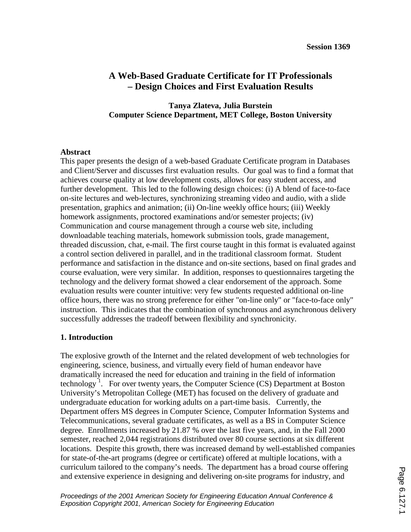# **A Web-Based Graduate Certificate for IT Professionals – Design Choices and First Evaluation Results**

## **Tanya Zlateva, Julia Burstein Computer Science Department, MET College, Boston University**

### **Abstract**

This paper presents the design of a web-based Graduate Certificate program in Databases and Client/Server and discusses first evaluation results. Our goal was to find a format that achieves course quality at low development costs, allows for easy student access, and further development. This led to the following design choices: (i) A blend of face-to-face on-site lectures and web-lectures, synchronizing streaming video and audio, with a slide presentation, graphics and animation; (ii) On-line weekly office hours; (iii) Weekly homework assignments, proctored examinations and/or semester projects; (iv) Communication and course management through a course web site, including downloadable teaching materials, homework submission tools, grade management, threaded discussion, chat, e-mail. The first course taught in this format is evaluated against a control section delivered in parallel, and in the traditional classroom format. Student performance and satisfaction in the distance and on-site sections, based on final grades and course evaluation, were very similar. In addition, responses to questionnaires targeting the technology and the delivery format showed a clear endorsement of the approach. Some evaluation results were counter intuitive: very few students requested additional on-line office hours, there was no strong preference for either "on-line only" or "face-to-face only" instruction. This indicates that the combination of synchronous and asynchronous delivery successfully addresses the tradeoff between flexibility and synchronicity.

## **1. Introduction**

The explosive growth of the Internet and the related development of web technologies for engineering, science, business, and virtually every field of human endeavor have dramatically increased the need for education and training in the field of information technology<sup>1</sup>. For over twenty years, the Computer Science  $(CS)$  Department at Boston University's Metropolitan College (MET) has focused on the delivery of graduate and undergraduate education for working adults on a part-time basis. Currently, the Department offers MS degrees in Computer Science, Computer Information Systems and Telecommunications, several graduate certificates, as well as a BS in Computer Science degree. Enrollments increased by 21.87 % over the last five years, and, in the Fall 2000 semester, reached 2,044 registrations distributed over 80 course sections at six different locations. Despite this growth, there was increased demand by well-established companies for state-of-the-art programs (degree or certificate) offered at multiple locations, with a curriculum tailored to the company's needs. The department has a broad course offering and extensive experience in designing and delivering on-site programs for industry, and

*Proceedings of the 2001 American Society for Engineering Education Annual Conference & Exposition Copyright 2001, American Society for Engineering Education*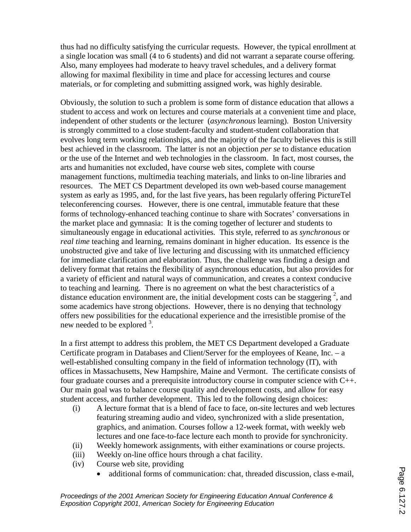thus had no difficulty satisfying the curricular requests. However, the typical enrollment at a single location was small (4 to 6 students) and did not warrant a separate course offering. Also, many employees had moderate to heavy travel schedules, and a delivery format allowing for maximal flexibility in time and place for accessing lectures and course materials, or for completing and submitting assigned work, was highly desirable.

Obviously, the solution to such a problem is some form of distance education that allows a student to access and work on lectures and course materials at a convenient time and place, independent of other students or the lecturer (*asynchronous* learning). Boston University is strongly committed to a close student-faculty and student-student collaboration that evolves long term working relationships, and the majority of the faculty believes this is still best achieved in the classroom. The latter is not an objection *per se* to distance education or the use of the Internet and web technologies in the classroom. In fact, most courses, the arts and humanities not excluded, have course web sites, complete with course management functions, multimedia teaching materials, and links to on-line libraries and resources. The MET CS Department developed its own web-based course management system as early as 1995, and, for the last five years, has been regularly offering PictureTel teleconferencing courses. However, there is one central, immutable feature that these forms of technology-enhanced teaching continue to share with Socrates' conversations in the market place and gymnasia: It is the coming together of lecturer and students to simultaneously engage in educational activities. This style, referred to as *synchronous* or *real time* teaching and learning, remains dominant in higher education. Its essence is the unobstructed give and take of live lecturing and discussing with its unmatched efficiency for immediate clarification and elaboration. Thus, the challenge was finding a design and delivery format that retains the flexibility of asynchronous education, but also provides for a variety of efficient and natural ways of communication, and creates a context conducive to teaching and learning. There is no agreement on what the best characteristics of a distance education environment are, the initial development costs can be staggering  $2$ , and some academics have strong objections. However, there is no denying that technology offers new possibilities for the educational experience and the irresistible promise of the new needed to be explored  $3$ .

In a first attempt to address this problem, the MET CS Department developed a Graduate Certificate program in Databases and Client/Server for the employees of Keane, Inc. – a well-established consulting company in the field of information technology (IT), with offices in Massachusetts, New Hampshire, Maine and Vermont. The certificate consists of four graduate courses and a prerequisite introductory course in computer science with C++. Our main goal was to balance course quality and development costs, and allow for easy student access, and further development. This led to the following design choices:

- (i) A lecture format that is a blend of face to face, on-site lectures and web lectures featuring streaming audio and video, synchronized with a slide presentation, graphics, and animation. Courses follow a 12-week format, with weekly web lectures and one face-to-face lecture each month to provide for synchronicity.
- (ii) Weekly homework assignments, with either examinations or course projects.
- (iii) Weekly on-line office hours through a chat facility.
- (iv) Course web site, providing
	- additional forms of communication: chat, threaded discussion, class e-mail,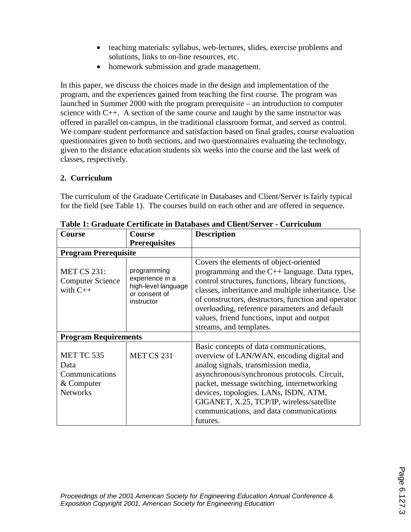- teaching materials: syllabus, web-lectures, slides, exercise problems and solutions, links to on-line resources, etc.
- homework submission and grade management.

In this paper, we discuss the choices made in the design and implementation of the program, and the experiences gained from teaching the first course. The program was launched in Summer 2000 with the program prerequisite – an introduction to computer science with C++. A section of the same course and taught by the same instructor was offered in parallel on-campus, in the traditional classroom format, and served as control. We compare student performance and satisfaction based on final grades, course evaluation questionnaires given to both sections, and two questionnaires evaluating the technology, given to the distance education students six weeks into the course and the last week of classes, respectively.

# **2. Curriculum**

The curriculum of the Graduate Certificate in Databases and Client/Server is fairly typical for the field (see Table 1). The courses build on each other and are offered in sequence.

| Course                                                                | Course                                                                               | <b>Description</b>                                                                                                                                                                                                                                                                                                                                                                       |  |  |  |  |
|-----------------------------------------------------------------------|--------------------------------------------------------------------------------------|------------------------------------------------------------------------------------------------------------------------------------------------------------------------------------------------------------------------------------------------------------------------------------------------------------------------------------------------------------------------------------------|--|--|--|--|
|                                                                       | <b>Prerequisites</b>                                                                 |                                                                                                                                                                                                                                                                                                                                                                                          |  |  |  |  |
| <b>Program Prerequisite</b>                                           |                                                                                      |                                                                                                                                                                                                                                                                                                                                                                                          |  |  |  |  |
| <b>MET CS 231:</b><br><b>Computer Science</b><br>with $C++$           | programming<br>experience in a<br>high-level language<br>or consent of<br>instructor | Covers the elements of object-oriented<br>programming and the $C_{++}$ language. Data types,<br>control structures, functions, library functions,<br>classes, inheritance and multiple inheritance. Use<br>of constructors, destructors, function and operator<br>overloading, reference parameters and default<br>values, friend functions, input and output<br>streams, and templates. |  |  |  |  |
| <b>Program Requirements</b>                                           |                                                                                      |                                                                                                                                                                                                                                                                                                                                                                                          |  |  |  |  |
| MET TC 535<br>Data<br>Communications<br>& Computer<br><b>Networks</b> | MET CS 231                                                                           | Basic concepts of data communications,<br>overview of LAN/WAN, encoding digital and<br>analog signals, transmission media,<br>asynchronous/synchronous protocols. Circuit,<br>packet, message switching, internetworking<br>devices, topologies. LANs, ISDN, ATM,<br>GIGANET, X.25, TCP/IP, wireless/satellite<br>communications, and data communications<br>futures.                    |  |  |  |  |

**Table 1: Graduate Certificate in Databases and Client/Server - Curriculum**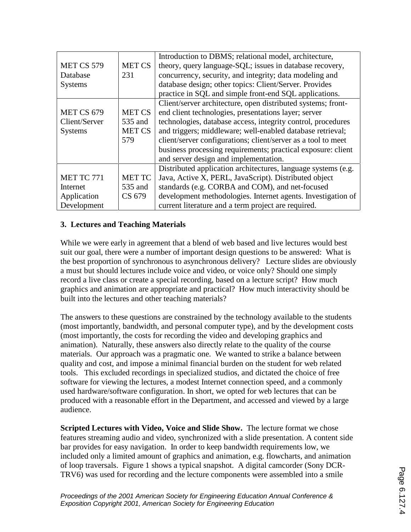|                   |               | Introduction to DBMS; relational model, architecture,         |
|-------------------|---------------|---------------------------------------------------------------|
| <b>MET CS 579</b> | <b>MET CS</b> | theory, query language-SQL; issues in database recovery,      |
| Database          | 231           | concurrency, security, and integrity; data modeling and       |
| <b>Systems</b>    |               | database design; other topics: Client/Server. Provides        |
|                   |               | practice in SQL and simple front-end SQL applications.        |
|                   |               | Client/server architecture, open distributed systems; front-  |
| MET CS 679        | <b>MET CS</b> | end client technologies, presentations layer; server          |
| Client/Server     | 535 and       | technologies, database access, integrity control, procedures  |
| <b>Systems</b>    | <b>MET CS</b> | and triggers; middleware; well-enabled database retrieval;    |
|                   | 579           | client/server configurations; client/server as a tool to meet |
|                   |               | business processing requirements; practical exposure: client  |
|                   |               | and server design and implementation.                         |
|                   |               | Distributed application architectures, language systems (e.g. |
| MET TC 771        | <b>MET TC</b> | Java, Active X, PERL, JavaScript). Distributed object         |
| Internet          | 535 and       | standards (e.g. CORBA and COM), and net-focused               |
| Application       | CS 679        | development methodologies. Internet agents. Investigation of  |
| Development       |               | current literature and a term project are required.           |

## **3. Lectures and Teaching Materials**

While we were early in agreement that a blend of web based and live lectures would best suit our goal, there were a number of important design questions to be answered: What is the best proportion of synchronous to asynchronous delivery? Lecture slides are obviously a must but should lectures include voice and video, or voice only? Should one simply record a live class or create a special recording, based on a lecture script? How much graphics and animation are appropriate and practical? How much interactivity should be built into the lectures and other teaching materials?

The answers to these questions are constrained by the technology available to the students (most importantly, bandwidth, and personal computer type), and by the development costs (most importantly, the costs for recording the video and developing graphics and animation). Naturally, these answers also directly relate to the quality of the course materials. Our approach was a pragmatic one. We wanted to strike a balance between quality and cost, and impose a minimal financial burden on the student for web related tools. This excluded recordings in specialized studios, and dictated the choice of free software for viewing the lectures, a modest Internet connection speed, and a commonly used hardware/software configuration. In short, we opted for web lectures that can be produced with a reasonable effort in the Department, and accessed and viewed by a large audience.

**Scripted Lectures with Video, Voice and Slide Show.** The lecture format we chose features streaming audio and video, synchronized with a slide presentation. A content side bar provides for easy navigation. In order to keep bandwidth requirements low, we included only a limited amount of graphics and animation, e.g. flowcharts, and animation of loop traversals. Figure 1 shows a typical snapshot. A digital camcorder (Sony DCR-TRV6) was used for recording and the lecture components were assembled into a smile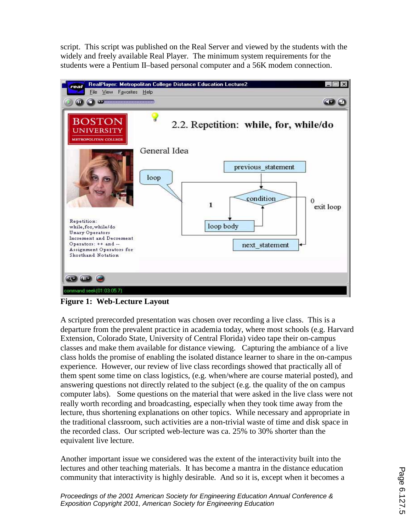script. This script was published on the Real Server and viewed by the students with the widely and freely available Real Player. The minimum system requirements for the students were a Pentium II–based personal computer and a 56K modem connection.



**Figure 1: Web-Lecture Layout** 

A scripted prerecorded presentation was chosen over recording a live class. This is a departure from the prevalent practice in academia today, where most schools (e.g. Harvard Extension, Colorado State, University of Central Florida) video tape their on-campus classes and make them available for distance viewing. Capturing the ambiance of a live class holds the promise of enabling the isolated distance learner to share in the on-campus experience. However, our review of live class recordings showed that practically all of them spent some time on class logistics, (e.g. when/where are course material posted), and answering questions not directly related to the subject (e.g. the quality of the on campus computer labs). Some questions on the material that were asked in the live class were not really worth recording and broadcasting, especially when they took time away from the lecture, thus shortening explanations on other topics. While necessary and appropriate in the traditional classroom, such activities are a non-trivial waste of time and disk space in the recorded class. Our scripted web-lecture was ca. 25% to 30% shorter than the equivalent live lecture.

Another important issue we considered was the extent of the interactivity built into the lectures and other teaching materials. It has become a mantra in the distance education community that interactivity is highly desirable. And so it is, except when it becomes a

*Proceedings of the 2001 American Society for Engineering Education Annual Conference & Exposition Copyright 2001, American Society for Engineering Education*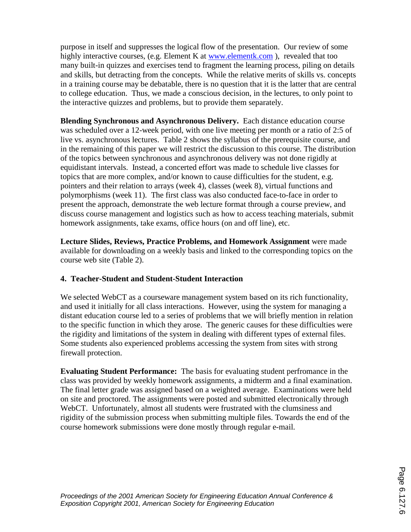purpose in itself and suppresses the logical flow of the presentation. Our review of some highly interactive courses, (e.g. Element K at www.elementk.com), revealed that too many built-in quizzes and exercises tend to fragment the learning process, piling on details and skills, but detracting from the concepts. While the relative merits of skills vs. concepts in a training course may be debatable, there is no question that it is the latter that are central to college education. Thus, we made a conscious decision, in the lectures, to only point to the interactive quizzes and problems, but to provide them separately.

**Blending Synchronous and Asynchronous Delivery.** Each distance education course was scheduled over a 12-week period, with one live meeting per month or a ratio of 2:5 of live vs. asynchronous lectures. Table 2 shows the syllabus of the prerequisite course, and in the remaining of this paper we will restrict the discussion to this course. The distribution of the topics between synchronous and asynchronous delivery was not done rigidly at equidistant intervals. Instead, a concerted effort was made to schedule live classes for topics that are more complex, and/or known to cause difficulties for the student, e.g. pointers and their relation to arrays (week 4), classes (week 8), virtual functions and polymorphisms (week 11). The first class was also conducted face-to-face in order to present the approach, demonstrate the web lecture format through a course preview, and discuss course management and logistics such as how to access teaching materials, submit homework assignments, take exams, office hours (on and off line), etc.

**Lecture Slides, Reviews, Practice Problems, and Homework Assignment** were made available for downloading on a weekly basis and linked to the corresponding topics on the course web site (Table 2).

# **4. Teacher-Student and Student-Student Interaction**

We selected WebCT as a courseware management system based on its rich functionality, and used it initially for all class interactions. However, using the system for managing a distant education course led to a series of problems that we will briefly mention in relation to the specific function in which they arose. The generic causes for these difficulties were the rigidity and limitations of the system in dealing with different types of external files. Some students also experienced problems accessing the system from sites with strong firewall protection.

**Evaluating Student Performance:** The basis for evaluating student perfromance in the class was provided by weekly homework assignments, a midterm and a final examination. The final letter grade was assigned based on a weighted average. Examinations were held on site and proctored. The assignments were posted and submitted electronically through WebCT. Unfortunately, almost all students were frustrated with the clumsiness and rigidity of the submission process when submitting multiple files. Towards the end of the course homework submissions were done mostly through regular e-mail.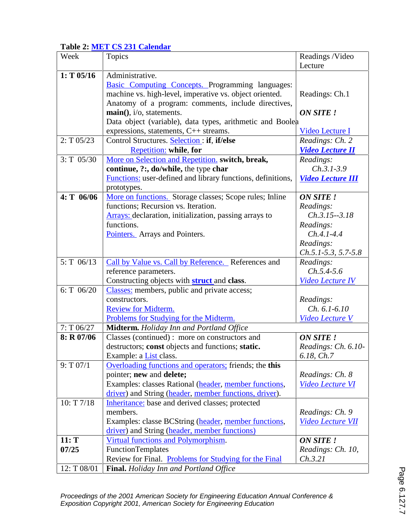# **Table 2: MET CS 231 Calendar**

| Week           | <b>Topics</b>                                                 | Readings /Video          |
|----------------|---------------------------------------------------------------|--------------------------|
|                |                                                               | Lecture                  |
| $1: T$ 05/16   | Administrative.                                               |                          |
|                | Basic Computing Concepts. Programming languages:              |                          |
|                | machine vs. high-level, imperative vs. object oriented.       | Readings: Ch.1           |
|                | Anatomy of a program: comments, include directives,           |                          |
|                | $\text{main}()$ , i/o, statements.                            | <b>ON SITE!</b>          |
|                | Data object (variable), data types, arithmetic and Boolea     |                          |
|                | expressions, statements, C++ streams.                         | Video Lecture I          |
| $2: T\ 05/23$  | Control Structures. Selection: if, if/else                    | Readings: Ch. 2          |
|                | <b>Repetition:</b> while, for                                 | <b>Video Lecture II</b>  |
| $3: T \ 05/30$ | More on Selection and Repetition. switch, break,              | Readings:                |
|                | continue, ?:, do/while, the type char                         | $Ch.3.1-3.9$             |
|                | Functions: user-defined and library functions, definitions,   | <b>Video Lecture III</b> |
|                | prototypes.                                                   |                          |
| $4: T_06/06$   | More on functions. Storage classes; Scope rules; Inline       | <b>ON SITE!</b>          |
|                | functions; Recursion vs. Iteration.                           | Readings:                |
|                | <b>Arrays:</b> declaration, initialization, passing arrays to | $Ch.3.15 - 3.18$         |
|                | functions.                                                    | Readings:                |
|                | Pointers. Arrays and Pointers.                                | $Ch.4.1 - 4.4$           |
|                |                                                               | Readings:                |
|                |                                                               | $Ch.5.1-5.3, 5.7-5.8$    |
| $5: T \ 06/13$ | Call by Value vs. Call by Reference. References and           | Readings:                |
|                | reference parameters.                                         | $Ch. 5.4 - 5.6$          |
|                | Constructing objects with <b>struct</b> and <b>class</b> .    | <b>Video Lecture IV</b>  |
| 6: T $06/20$   | Classes: members, public and private access;                  |                          |
|                | constructors.                                                 | Readings:                |
|                | Review for Midterm.                                           | $Ch. 6.1-6.10$           |
|                | Problems for Studying for the Midterm.                        | Video Lecture V          |
| 7: T06/27      | Midterm. Holiday Inn and Portland Office                      |                          |
| $8: R$ 07/06   | Classes (continued): more on constructors and                 | <b>ON SITE!</b>          |
|                | destructors; const objects and functions; static.             | Readings: Ch. 6.10-      |
|                | Example: a <b>List</b> class.                                 | 6.18, Ch.7               |
| 9: T 07/1      | Overloading functions and operators; friends; the this        |                          |
|                | pointer; new and delete;                                      | Readings: Ch. 8          |
|                | Examples: classes Rational (header, member functions,         | <b>Video Lecture VI</b>  |
|                | driver) and String (header, member functions, driver).        |                          |
| 10: T 7/18     | Inheritance: base and derived classes; protected              |                          |
|                | members.                                                      | Readings: Ch. 9          |
|                | Examples: classe BCString (header, member functions,          | <b>Video Lecture VII</b> |
|                | driver) and String (header, member functions)                 |                          |
| 11: T          | Virtual functions and Polymorphism.                           | <b>ON SITE!</b>          |
| 07/25          | <b>FunctionTemplates</b>                                      | Readings: Ch. 10,        |
|                | Review for Final. Problems for Studying for the Final         | Ch.3.21                  |
| 12: T 08/01    | <b>Final.</b> Holiday Inn and Portland Office                 |                          |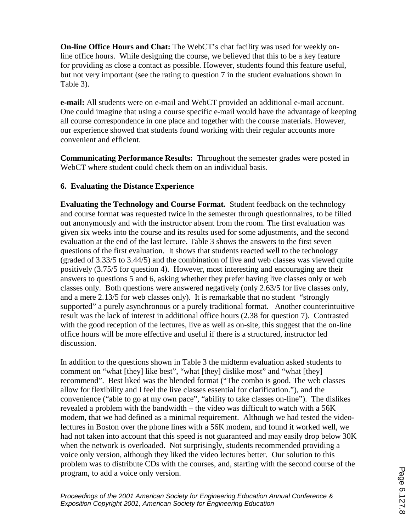**On-line Office Hours and Chat:** The WebCT's chat facility was used for weekly online office hours. While designing the course, we believed that this to be a key feature for providing as close a contact as possible. However, students found this feature useful, but not very important (see the rating to question 7 in the student evaluations shown in Table 3).

**e-mail:** All students were on e-mail and WebCT provided an additional e-mail account. One could imagine that using a course specific e-mail would have the advantage of keeping all course correspondence in one place and together with the course materials. However, our experience showed that students found working with their regular accounts more convenient and efficient.

**Communicating Performance Results:** Throughout the semester grades were posted in WebCT where student could check them on an individual basis.

## **6. Evaluating the Distance Experience**

**Evaluating the Technology and Course Format.** Student feedback on the technology and course format was requested twice in the semester through questionnaires, to be filled out anonymously and with the instructor absent from the room. The first evaluation was given six weeks into the course and its results used for some adjustments, and the second evaluation at the end of the last lecture. Table 3 shows the answers to the first seven questions of the first evaluation. It shows that students reacted well to the technology (graded of 3.33/5 to 3.44/5) and the combination of live and web classes was viewed quite positively (3.75/5 for question 4). However, most interesting and encouraging are their answers to questions 5 and 6, asking whether they prefer having live classes only or web classes only. Both questions were answered negatively (only 2.63/5 for live classes only, and a mere 2.13/5 for web classes only). It is remarkable that no student "strongly supported" a purely asynchronous or a purely traditional format. Another counterintuitive result was the lack of interest in additional office hours (2.38 for question 7). Contrasted with the good reception of the lectures, live as well as on-site, this suggest that the on-line office hours will be more effective and useful if there is a structured, instructor led discussion.

In addition to the questions shown in Table 3 the midterm evaluation asked students to comment on "what [they] like best", "what [they] dislike most" and "what [they] recommend". Best liked was the blended format ("The combo is good. The web classes allow for flexibility and I feel the live classes essential for clarification."), and the convenience ("able to go at my own pace", "ability to take classes on-line"). The dislikes revealed a problem with the bandwidth – the video was difficult to watch with a 56K modem, that we had defined as a minimal requirement. Although we had tested the videolectures in Boston over the phone lines with a 56K modem, and found it worked well, we had not taken into account that this speed is not guaranteed and may easily drop below 30K when the network is overloaded. Not surprisingly, students recommended providing a voice only version, although they liked the video lectures better. Our solution to this problem was to distribute CDs with the courses, and, starting with the second course of the program, to add a voice only version.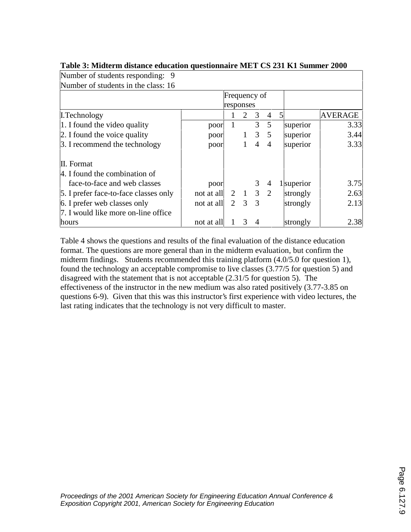| Number of students in the class: 16   |            |                |                 |   |                |   |            |                |
|---------------------------------------|------------|----------------|-----------------|---|----------------|---|------------|----------------|
|                                       |            |                | Frequency of    |   |                |   |            |                |
|                                       | responses  |                |                 |   |                |   |            |                |
| L.Technology                          |            | 1              | 2               | 3 | 4              | 5 |            | <b>AVERAGE</b> |
| 1. I found the video quality          | poor       |                |                 | 3 | 5              |   | superior   | 3.33           |
| 2. I found the voice quality          | poor       |                | $\mathbf{1}$    |   | $3 \quad 5$    |   | superior   | 3.44           |
| 3. I recommend the technology         | poor       |                |                 | 4 | $\overline{4}$ |   | superior   | 3.33           |
| II. Format                            |            |                |                 |   |                |   |            |                |
| 4. I found the combination of         |            |                |                 |   |                |   |            |                |
| face-to-face and web classes          | poor       |                |                 | 3 | $\overline{4}$ |   | 1 superior | 3.75           |
| 5. I prefer face-to-face classes only | not at all |                | $2 \t1 \t3 \t2$ |   |                |   | strongly   | 2.63           |
| 6. I prefer web classes only          | not at all | $\overline{2}$ | 3               | 3 |                |   | strongly   | 2.13           |
| 7. I would like more on-line office   |            |                |                 |   |                |   |            |                |
| hours                                 | not at all |                | 3               | 4 |                |   | strongly   | 2.38           |

## **Table 3: Midterm distance education questionnaire MET CS 231 K1 Summer 2000**

Number of students responding: 9

Table 4 shows the questions and results of the final evaluation of the distance education format. The questions are more general than in the midterm evaluation, but confirm the midterm findings. Students recommended this training platform (4.0/5.0 for question 1), found the technology an acceptable compromise to live classes (3.77/5 for question 5) and disagreed with the statement that is not acceptable (2.31/5 for question 5). The effectiveness of the instructor in the new medium was also rated positively (3.77-3.85 on questions 6-9). Given that this was this instructor's first experience with video lectures, the last rating indicates that the technology is not very difficult to master.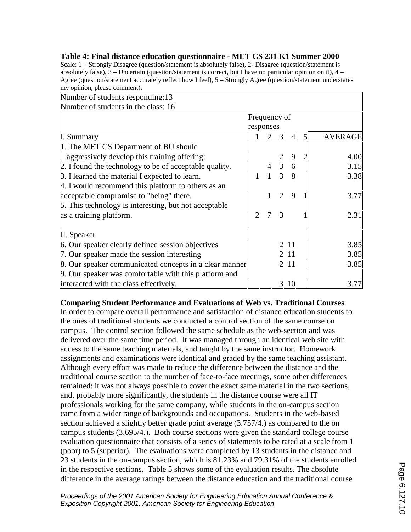| Number of students responding:13                       |                             |                       |                     |                |   |                |  |
|--------------------------------------------------------|-----------------------------|-----------------------|---------------------|----------------|---|----------------|--|
| Number of students in the class: 16                    |                             |                       |                     |                |   |                |  |
|                                                        |                             | Frequency of          |                     |                |   |                |  |
|                                                        | responses                   |                       |                     |                |   |                |  |
| I. Summary                                             |                             | $\mathcal{D}_{\cdot}$ | 3                   | $\overline{4}$ | 5 | <b>AVERAGE</b> |  |
| 1. The MET CS Department of BU should                  |                             |                       |                     |                |   |                |  |
| aggressively develop this training offering:           |                             |                       |                     | 9              |   | 4.00           |  |
| 2. I found the technology to be of acceptable quality. |                             |                       | $4 \quad 3 \quad 6$ |                |   | 3.15           |  |
| 3. I learned the material I expected to learn.         | $\mathbf{1}$                |                       | $1 \t3 \t8$         |                |   | 3.38           |  |
| 4. I would recommend this platform to others as an     |                             |                       |                     |                |   |                |  |
| acceptable compromise to "being" there.                |                             | $\mathbf{1}$          | $\overline{2}$      | 9              |   | 3.77           |  |
| 5. This technology is interesting, but not acceptable  |                             |                       |                     |                |   |                |  |
| as a training platform.                                | $\mathcal{D}_{\mathcal{L}}$ | 7                     | 3                   |                |   | 2.31           |  |
| II. Speaker                                            |                             |                       |                     |                |   |                |  |
| 6. Our speaker clearly defined session objectives      |                             |                       |                     | 2 11           |   | 3.85           |  |
| 7. Our speaker made the session interesting            |                             |                       |                     | 2 1 1          |   | 3.85           |  |
| 8. Our speaker communicated concepts in a clear manner |                             |                       |                     | 2 1 1          |   | 3.85           |  |
| 9. Our speaker was comfortable with this platform and  |                             |                       |                     |                |   |                |  |
| interacted with the class effectively.                 |                             |                       |                     | 3 10           |   | 3.77           |  |

**Table 4: Final distance education questionnaire - MET CS 231 K1 Summer 2000** Scale: 1 – Strongly Disagree (question/statement is absolutely false), 2- Disagree (question/statement is absolutely false), 3 – Uncertain (question/statement is correct, but I have no particular opinion on it), 4 – Agree (question/statement accurately reflect how I feel), 5 – Strongly Agree (question/statement understates

my opinion, please comment).

### **Comparing Student Performance and Evaluations of Web vs. Traditional Courses**

In order to compare overall performance and satisfaction of distance education students to the ones of traditional students we conducted a control section of the same course on campus. The control section followed the same schedule as the web-section and was delivered over the same time period. It was managed through an identical web site with access to the same teaching materials, and taught by the same instructor. Homework assignments and examinations were identical and graded by the same teaching assistant. Although every effort was made to reduce the difference between the distance and the traditional course section to the number of face-to-face meetings, some other differences remained: it was not always possible to cover the exact same material in the two sections, and, probably more significantly, the students in the distance course were all IT professionals working for the same company, while students in the on-campus section came from a wider range of backgrounds and occupations. Students in the web-based section achieved a slightly better grade point average (3.757/4.) as compared to the on campus students (3.695/4.). Both course sections were given the standard college course evaluation questionnaire that consists of a series of statements to be rated at a scale from 1 (poor) to 5 (superior). The evaluations were completed by 13 students in the distance and 23 students in the on-campus section, which is 81.23% and 79.31% of the students enrolled in the respective sections. Table 5 shows some of the evaluation results. The absolute difference in the average ratings between the distance education and the traditional course

*Proceedings of the 2001 American Society for Engineering Education Annual Conference & Exposition Copyright 2001, American Society for Engineering Education*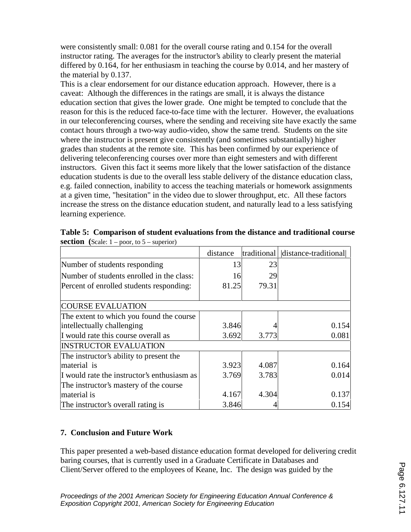were consistently small: 0.081 for the overall course rating and 0.154 for the overall instructor rating. The averages for the instructor's ability to clearly present the material differed by 0.164, for her enthusiasm in teaching the course by 0.014, and her mastery of the material by 0.137.

This is a clear endorsement for our distance education approach. However, there is a caveat: Although the differences in the ratings are small, it is always the distance education section that gives the lower grade. One might be tempted to conclude that the reason for this is the reduced face-to-face time with the lecturer. However, the evaluations in our teleconferencing courses, where the sending and receiving site have exactly the same contact hours through a two-way audio-video, show the same trend. Students on the site where the instructor is present give consistently (and sometimes substantially) higher grades than students at the remote site. This has been confirmed by our experience of delivering teleconferencing courses over more than eight semesters and with different instructors. Given this fact it seems more likely that the lower satisfaction of the distance education students is due to the overall less stable delivery of the distance education class, e.g. failed connection, inability to access the teaching materials or homework assignments at a given time, "hesitation" in the video due to slower throughput, etc. All these factors increase the stress on the distance education student, and naturally lead to a less satisfying learning experience.

|                                             | distance |       | traditional distance-traditional |
|---------------------------------------------|----------|-------|----------------------------------|
| Number of students responding               | 13       | 23    |                                  |
| Number of students enrolled in the class:   | 16       | 29    |                                  |
| Percent of enrolled students responding:    | 81.25    | 79.31 |                                  |
| <b>COURSE EVALUATION</b>                    |          |       |                                  |
| The extent to which you found the course    |          |       |                                  |
| intellectually challenging                  | 3.846    |       | 0.154                            |
| I would rate this course overall as         | 3.692    | 3.773 | 0.081                            |
| <b>INSTRUCTOR EVALUATION</b>                |          |       |                                  |
| The instructor's ability to present the     |          |       |                                  |
| material is                                 | 3.923    | 4.087 | 0.164                            |
| I would rate the instructor's enthusiasm as | 3.769    | 3.783 | 0.014                            |
| The instructor's mastery of the course      |          |       |                                  |
| material is                                 | 4.167    | 4.304 | 0.137                            |
| The instructor's overall rating is          | 3.846    |       | 0.154                            |

**Table 5: Comparison of student evaluations from the distance and traditional course section** (Scale:  $1 - poor$ , to  $5 - superior$ )

# **7. Conclusion and Future Work**

This paper presented a web-based distance education format developed for delivering credit baring courses, that is currently used in a Graduate Certificate in Databases and Client/Server offered to the employees of Keane, Inc. The design was guided by the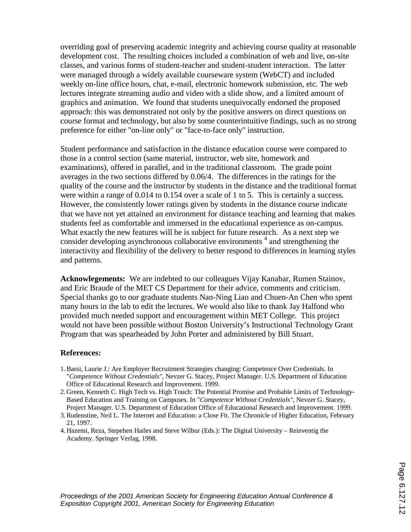overriding goal of preserving academic integrity and achieving course quality at reasonable development cost. The resulting choices included a combination of web and live, on-site classes, and various forms of student-teacher and student-student interaction. The latter were managed through a widely available courseware system (WebCT) and included weekly on-line office hours, chat, e-mail, electronic homework submission, etc. The web lectures integrate streaming audio and video with a slide show, and a limited amount of graphics and animation. We found that students unequivocally endorsed the proposed approach: this was demonstrated not only by the positive answers on direct questions on course format and technology, but also by some counterintuitive findings, such as no strong preference for either "on-line only" or "face-to-face only" instruction.

Student performance and satisfaction in the distance education course were compared to those in a control section (same material, instructor, web site, homework and examinations), offered in parallel, and in the traditional classroom. The grade point averages in the two sections differed by 0.06/4. The differences in the ratings for the quality of the course and the instructor by students in the distance and the traditional format were within a range of 0.014 to 0.154 over a scale of 1 to 5. This is certainly a success. However, the consistently lower ratings given by students in the distance course indicate that we have not yet attained an environment for distance teaching and learning that makes students feel as comfortable and immersed in the educational experience as on-campus. What exactly the new features will be is subject for future research. As a next step we consider developing asynchronous collaborative environments<sup>4</sup> and strengthening the interactivity and flexibility of the delivery to better respond to differences in learning styles and patterns.

**Acknowlegements:** We are indebted to our colleagues Vijay Kanabar, Rumen Stainov, and Eric Braude of the MET CS Department for their advice, comments and criticism. Special thanks go to our graduate students Nan-Ning Liao and Chuen-An Chen who spent many hours in the lab to edit the lectures. We would also like to thank Jay Halfond who provided much needed support and encouragement within MET College. This project would not have been possible without Boston University's Instructional Technology Grant Program that was spearheaded by John Porter and administered by Bill Stuart.

## **References:**

- 1. Bassi, Laurie J.: Are Employer Recruitment Strategies changing: Competence Over Credentials. In "*Competence Without Credentials",* Nevzer G. Stacey, Project Manager. U.S. Department of Education Office of Educational Research and Improvement. 1999.
- 2. Green, Kenneth C. High Tech vs. High Touch: The Potential Promise and Probable Limits of Technology-Based Education and Training on Campuses. In "*Competence Without Credentials",* Nevzer G. Stacey, Project Manager. U.S. Department of Education Office of Educational Research and Improvement. 1999.
- 3. Rudenstine, Neil L. The Internet and Education: a Close Fit. The Chronicle of Higher Education, February 21, 1997.
- 4. Hazemi, Reza, Stepehen Hailes and Steve Wilbur (Eds.): The Digital University Reinventig the Academy. Springer Verlag, 1998.